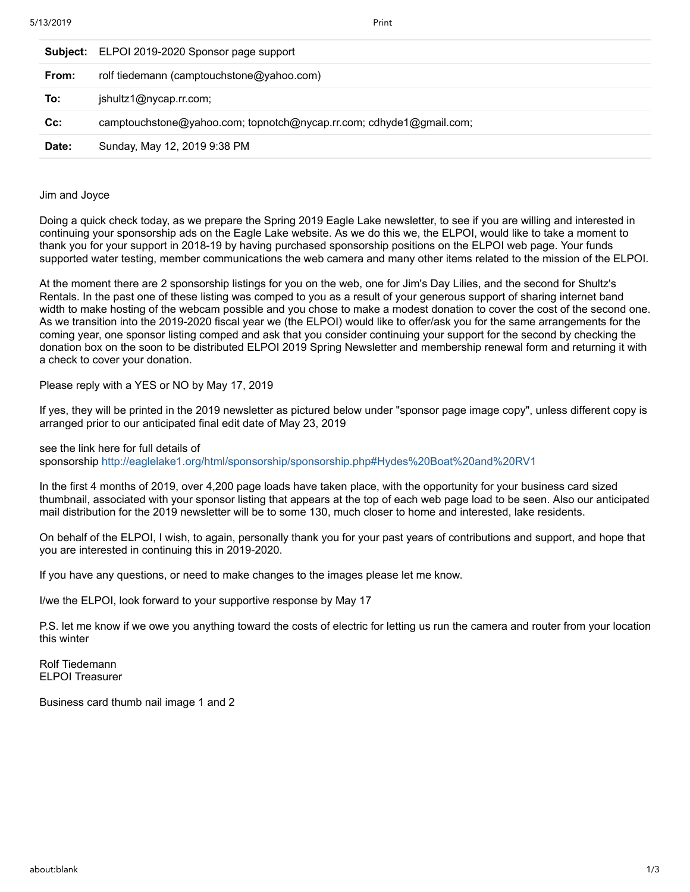|        | Subject: ELPOI 2019-2020 Sponsor page support                       |
|--------|---------------------------------------------------------------------|
| From:  | rolf tiedemann (camptouchstone@yahoo.com)                           |
| To:    | jshultz1@nycap.rr.com;                                              |
| $Cc$ : | camptouchstone@yahoo.com; topnotch@nycap.rr.com; cdhyde1@gmail.com; |
| Date:  | Sunday, May 12, 2019 9:38 PM                                        |

Jim and Joyce

Doing a quick check today, as we prepare the Spring 2019 Eagle Lake newsletter, to see if you are willing and interested in continuing your sponsorship ads on the Eagle Lake website. As we do this we, the ELPOI, would like to take a moment to thank you for your support in 2018-19 by having purchased sponsorship positions on the ELPOI web page. Your funds supported water testing, member communications the web camera and many other items related to the mission of the ELPOI.

At the moment there are 2 sponsorship listings for you on the web, one for Jim's Day Lilies, and the second for Shultz's Rentals. In the past one of these listing was comped to you as a result of your generous support of sharing internet band width to make hosting of the webcam possible and you chose to make a modest donation to cover the cost of the second one. As we transition into the 2019-2020 fiscal year we (the ELPOI) would like to offer/ask you for the same arrangements for the coming year, one sponsor listing comped and ask that you consider continuing your support for the second by checking the donation box on the soon to be distributed ELPOI 2019 Spring Newsletter and membership renewal form and returning it with a check to cover your donation.

Please reply with a YES or NO by May 17, 2019

If yes, they will be printed in the 2019 newsletter as pictured below under "sponsor page image copy", unless different copy is arranged prior to our anticipated final edit date of May 23, 2019

see the link here for full details of sponsorship<http://eaglelake1.org/html/sponsorship/sponsorship.php#Hydes%20Boat%20and%20RV1>

In the first 4 months of 2019, over 4,200 page loads have taken place, with the opportunity for your business card sized thumbnail, associated with your sponsor listing that appears at the top of each web page load to be seen. Also our anticipated mail distribution for the 2019 newsletter will be to some 130, much closer to home and interested, lake residents.

On behalf of the ELPOI, I wish, to again, personally thank you for your past years of contributions and support, and hope that you are interested in continuing this in 2019-2020.

If you have any questions, or need to make changes to the images please let me know.

I/we the ELPOI, look forward to your supportive response by May 17

P.S. let me know if we owe you anything toward the costs of electric for letting us run the camera and router from your location this winter

Rolf Tiedemann ELPOI Treasurer

Business card thumb nail image 1 and 2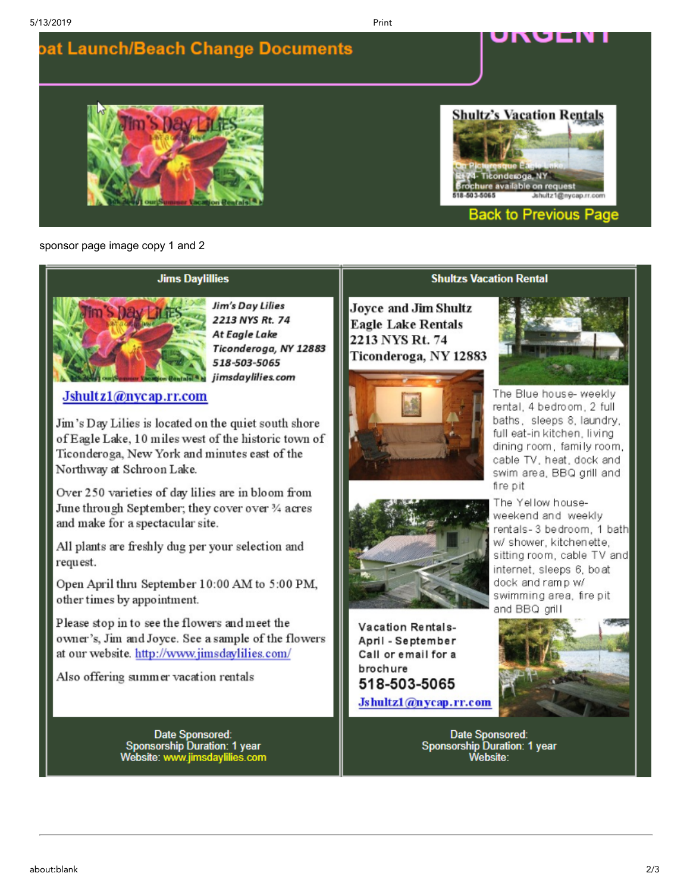**pat Launch/Beach Change Documents** 

# $SDa$

# **Shultz's Vacation Rentals**

ושט



### **Back to Previous Page**

sponsor page image copy 1 and 2

### **Jims Daylillies**



Jim's Day Lilies 2213 NYS Rt. 74 At Eagle Lake Ticonderoga, NY 12883 518-503-5065 jimsdaylilies.com

Jshult z1@nycap.rr.com

Jim's Day Lilies is located on the quiet south shore of Eagle Lake, 10 miles west of the historic town of Ticonderoga, New York and minutes east of the Northway at Schroon Lake.

Over 250 varieties of day lilies are in bloom from June through September; they cover over 3/4 acres and make for a spectacular site.

All plants are freshly dug per your selection and request.

Open April thru September 10:00 AM to 5:00 PM, other times by appointment.

Please stop in to see the flowers and meet the owner's, Jim and Joyce. See a sample of the flowers at our website. http://www.jimsdavlilies.com/

Also offering summer vacation rentals

Date Sponsored: **Sponsorship Duration: 1 year** Website: www.jimsdaylilies.com

### **Shultzs Vacation Rental**

**Joyce and Jim Shultz Eagle Lake Rentals** 2213 NYS Rt. 74 Ticonderoga, NY 12883

Print





Vacation Rentals-April - September Call or email for a brochure 518-503-5065 Jshultz1@nycap.rr.com



The Blue house- weekly rental, 4 bedroom, 2 full baths, sleeps 8, laundry, full eat-in kitchen, living dining room, family room, cable TV, heat, dock and swim area, BBQ grill and fire pit

The Yellow houseweekend and weekly rentals-3 bedroom, 1 bath w/ shower, kitchenette, sitting room, cable TV and internet, sleeps 6, boat dock and ramp w/ swimming area, fire pit and BBQ grill



Date Sponsored: **Sponsorship Duration: 1 year** Website: